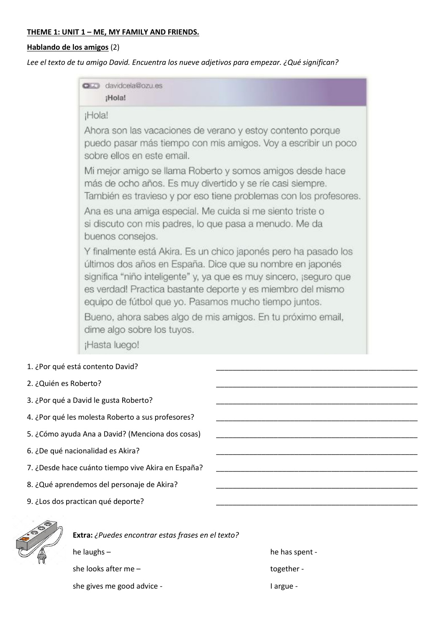## **THEME 1: UNIT 1 – ME, MY FAMILY AND FRIENDS.**

## **Hablando de los amigos** (2)

*Lee el texto de tu amigo David. Encuentra los nueve adjetivos para empezar. ¿Qué significan?*

| <b>CED</b> davidcela@ozu.es<br>¡Hola!                                                                                                                                                                                                                                                                                      |
|----------------------------------------------------------------------------------------------------------------------------------------------------------------------------------------------------------------------------------------------------------------------------------------------------------------------------|
| ¡Hola!                                                                                                                                                                                                                                                                                                                     |
| Ahora son las vacaciones de verano y estoy contento porque<br>puedo pasar más tiempo con mis amigos. Voy a escribir un poco<br>sobre ellos en este email.                                                                                                                                                                  |
| Mi mejor amigo se llama Roberto y somos amigos desde hace<br>más de ocho años. Es muy divertido y se ríe casi siempre.<br>También es travieso y por eso tiene problemas con los profesores.                                                                                                                                |
| Ana es una amiga especial. Me cuida si me siento triste o<br>si discuto con mis padres, lo que pasa a menudo. Me da<br>buenos consejos.                                                                                                                                                                                    |
| Y finalmente está Akira. Es un chico japonés pero ha pasado los<br>últimos dos años en España. Dice que su nombre en japonés<br>significa "niño inteligente" y, ya que es muy sincero, ¡seguro que<br>es verdad! Practica bastante deporte y es miembro del mismo<br>equipo de fútbol que yo. Pasamos mucho tiempo juntos. |
| Bueno, ahora sabes algo de mis amigos. En tu próximo email,<br>dime algo sobre los tuyos.                                                                                                                                                                                                                                  |
| ¡Hasta luego!                                                                                                                                                                                                                                                                                                              |

- 3. ¿Por qué a David le gusta Roberto?
- 4. ¿Por qué les molesta Roberto a sus profesores?
- 5. ¿Cómo ayuda Ana a David? (Menciona dos cosas)
- 6. ¿De qué nacionalidad es Akira? \_\_\_\_\_\_\_\_\_\_\_\_\_\_\_\_\_\_\_\_\_\_\_\_\_\_\_\_\_\_\_\_\_\_\_\_\_\_\_\_\_\_\_\_\_\_\_\_\_
- 7. ¿Desde hace cuánto tiempo vive Akira en España?
- 8. ¿Qué aprendemos del personaje de Akira?
- 9. ¿Los dos practican qué deporte?



**Extra:** *¿Puedes encontrar estas frases en el texto?* he laughs – he has spent she looks after me – together -

she gives me good advice - I argue - I argue -